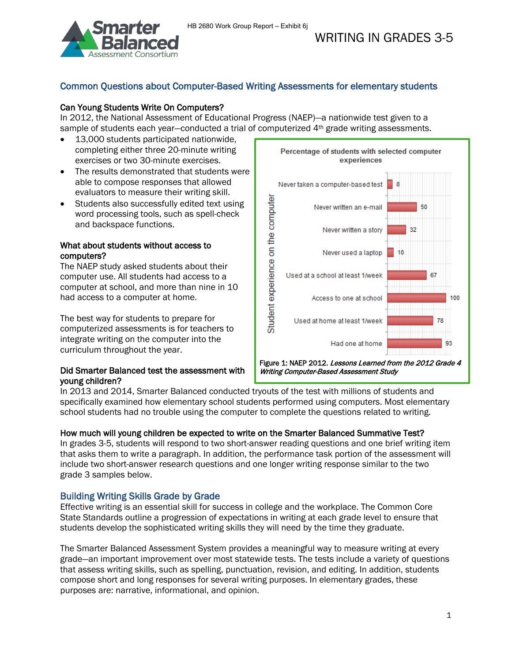

# Common Questions about Computer-Based Writing Assessments for elementary students

# Can Young Students Write On Computers?

In 2012, the National Assessment of Educational Progress (NAEP)—a nationwide test given to a sample of students each year-conducted a trial of computerized 4<sup>th</sup> grade writing assessments.

- 13,000 students participated nationwide, completing either three 20-minute writing exercises or two 30-minute exercises.
- The results demonstrated that students were able to compose responses that allowed evaluators to measure their writing skill.
- Students also successfully edited text using word processing tools, such as spell-check and backspace functions.

## What about students without access to computers?

The NAEP study asked students about their computer use. All students had access to a computer at school, and more than nine in 10 had access to a computer at home.

The best way for students to prepare for computerized assessments is for teachers to integrate writing on the computer into the curriculum throughout the year.

## Did Smarter Balanced test the assessment with young children?



Writing Computer-Based Assessment Study

In 2013 and 2014, Smarter Balanced conducted tryouts of the test with millions of students and specifically examined how elementary school students performed using computers. Most elementary school students had no trouble using the computer to complete the questions related to writing.

# How much will young children be expected to write on the Smarter Balanced Summative Test?

In grades 3-5, students will respond to two short-answer reading questions and one brief writing item that asks them to write a paragraph. In addition, the performance task portion of the assessment will include two short-answer research questions and one longer writing response similar to the two grade 3 samples below.

# Building Writing Skills Grade by Grade

Effective writing is an essential skill for success in college and the workplace. The Common Core State Standards outline a progression of expectations in writing at each grade level to ensure that students develop the sophisticated writing skills they will need by the time they graduate.

The Smarter Balanced Assessment System provides a meaningful way to measure writing at every grade—an important improvement over most statewide tests. The tests include a variety of questions that assess writing skills, such as spelling, punctuation, revision, and editing. In addition, students compose short and long responses for several writing purposes. In elementary grades, these purposes are: narrative, informational, and opinion.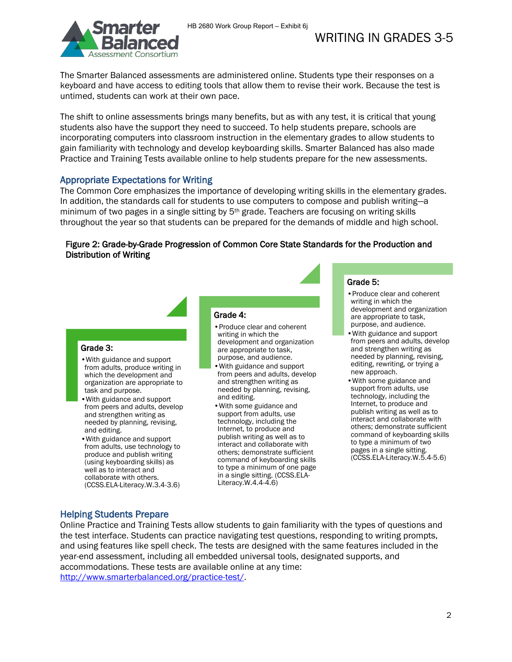

The Smarter Balanced assessments are administered online. Students type their responses on a keyboard and have access to editing tools that allow them to revise their work. Because the test is untimed, students can work at their own pace.

The shift to online assessments brings many benefits, but as with any test, it is critical that young students also have the support they need to succeed. To help students prepare, schools are incorporating computers into classroom instruction in the elementary grades to allow students to gain familiarity with technology and develop keyboarding skills. Smarter Balanced has also made Practice and Training Tests available online to help students prepare for the new assessments.

## Appropriate Expectations for Writing

The Common Core emphasizes the importance of developing writing skills in the elementary grades. In addition, the standards call for students to use computers to compose and publish writing—a minimum of two pages in a single sitting by 5th grade. Teachers are focusing on writing skills throughout the year so that students can be prepared for the demands of middle and high school.

### Figure 2: Grade-by-Grade Progression of Common Core State Standards for the Production and Distribution of Writing

#### Grade 3:

- •With guidance and support from adults, produce writing in which the development and organization are appropriate to task and purpose.
- •With guidance and support from peers and adults, develop and strengthen writing as needed by planning, revising, and editing.
- •With guidance and support from adults, use technology to produce and publish writing (using keyboarding skills) as well as to interact and collaborate with others. (CCSS.ELA-Literacy.W.3.4-3.6)

#### Grade 4:

- •Produce clear and coherent writing in which the development and organization are appropriate to task, purpose, and audience.
- •With guidance and support from peers and adults, develop and strengthen writing as needed by planning, revising, and editing.
- •With some guidance and support from adults, use technology, including the Internet, to produce and publish writing as well as to interact and collaborate with others; demonstrate sufficient command of keyboarding skills to type a minimum of one page in a single sitting. (CCSS.ELA-Literacy.W.4.4-4.6)

#### Grade 5:

- •Produce clear and coherent writing in which the development and organization are appropriate to task, purpose, and audience.
- •With guidance and support from peers and adults, develop and strengthen writing as needed by planning, revising, editing, rewriting, or trying a new approach.
- •With some guidance and support from adults, use technology, including the Internet, to produce and publish writing as well as to interact and collaborate with others; demonstrate sufficient command of keyboarding skills to type a minimum of two pages in a single sitting. (CCSS.ELA-Literacy.W.5.4-5.6)

### Helping Students Prepare

Online Practice and Training Tests allow students to gain familiarity with the types of questions and the test interface. Students can practice navigating test questions, responding to writing prompts, and using features like spell check. The tests are designed with the same features included in the year-end assessment, including all embedded universal tools, designated supports, and accommodations. These tests are available online at any time: [http://www.smarterbalanced.org/practice-test/.](http://www.smarterbalanced.org/practice-test/)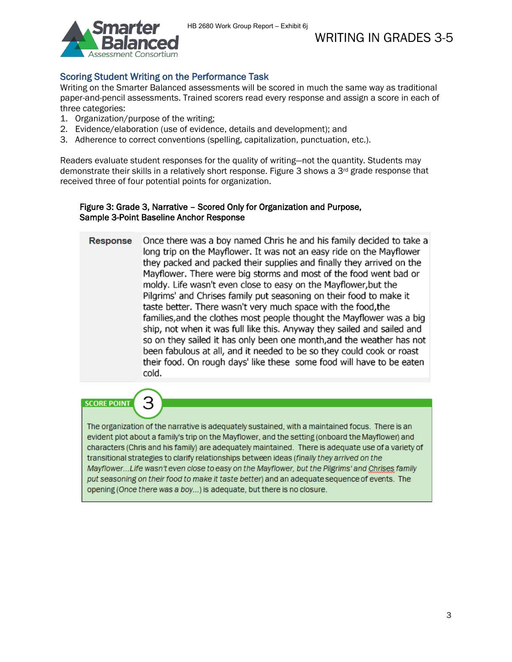# Scoring Student Writing on the Performance Task

Writing on the Smarter Balanced assessments will be scored in much the same way as traditional paper-and-pencil assessments. Trained scorers read every response and assign a score in each of three categories:

- 1. Organization/purpose of the writing;
- 2. Evidence/elaboration (use of evidence, details and development); and
- 3. Adherence to correct conventions (spelling, capitalization, punctuation, etc.).

Readers evaluate student responses for the quality of writing—not the quantity. Students may demonstrate their skills in a relatively short response. Figure 3 shows a 3rd grade response that received three of four potential points for organization.

### Figure 3: Grade 3, Narrative – Scored Only for Organization and Purpose, Sample 3-Point Baseline Anchor Response

| <b>Response</b> | Once there was a boy named Chris he and his family decided to take a<br>long trip on the Mayflower. It was not an easy ride on the Mayflower<br>they packed and packed their supplies and finally they arrived on the<br>Mayflower. There were big storms and most of the food went bad or<br>moldy. Life wasn't even close to easy on the Mayflower, but the<br>Pilgrims' and Chrises family put seasoning on their food to make it<br>taste better. There wasn't very much space with the food, the<br>families, and the clothes most people thought the Mayflower was a big<br>ship, not when it was full like this. Anyway they sailed and sailed and<br>so on they sailed it has only been one month, and the weather has not<br>been fabulous at all, and it needed to be so they could cook or roast<br>their food. On rough days' like these some food will have to be eaten<br>cold. |
|-----------------|-----------------------------------------------------------------------------------------------------------------------------------------------------------------------------------------------------------------------------------------------------------------------------------------------------------------------------------------------------------------------------------------------------------------------------------------------------------------------------------------------------------------------------------------------------------------------------------------------------------------------------------------------------------------------------------------------------------------------------------------------------------------------------------------------------------------------------------------------------------------------------------------------|
|-----------------|-----------------------------------------------------------------------------------------------------------------------------------------------------------------------------------------------------------------------------------------------------------------------------------------------------------------------------------------------------------------------------------------------------------------------------------------------------------------------------------------------------------------------------------------------------------------------------------------------------------------------------------------------------------------------------------------------------------------------------------------------------------------------------------------------------------------------------------------------------------------------------------------------|

**SCORE POINT** 



The organization of the narrative is adequately sustained, with a maintained focus. There is an evident plot about a family's trip on the Mayflower, and the setting (onboard the Mayflower) and characters (Chris and his family) are adequately maintained. There is adequate use of a variety of transitional strategies to clarify relationships between ideas (finally they arrived on the Mayflower...Life wasn't even close to easy on the Mayflower, but the Pilgrims' and Chrises family put seasoning on their food to make it taste better) and an adequate sequence of events. The opening (Once there was a boy...) is adequate, but there is no closure.